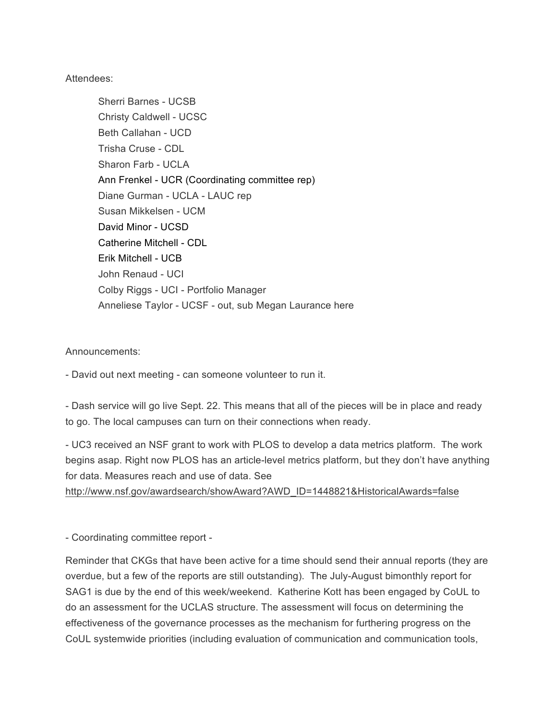Attendees:

Sherri Barnes - UCSB Christy Caldwell - UCSC Beth Callahan - UCD Trisha Cruse - CDL Sharon Farb - UCLA Ann Frenkel - UCR (Coordinating committee rep) Diane Gurman - UCLA - LAUC rep Susan Mikkelsen - UCM David Minor - UCSD Catherine Mitchell - CDL Erik Mitchell - UCB John Renaud - UCI Colby Riggs - UCI - Portfolio Manager Anneliese Taylor - UCSF - out, sub Megan Laurance here

Announcements:

- David out next meeting - can someone volunteer to run it.

- Dash service will go live Sept. 22. This means that all of the pieces will be in place and ready to go. The local campuses can turn on their connections when ready.

- UC3 received an NSF grant to work with PLOS to develop a data metrics platform. The work begins asap. Right now PLOS has an article-level metrics platform, but they don't have anything for data. Measures reach and use of data. See

http://www.nsf.gov/awardsearch/showAward?AWD\_ID=1448821&HistoricalAwards=false

- Coordinating committee report -

Reminder that CKGs that have been active for a time should send their annual reports (they are overdue, but a few of the reports are still outstanding). The July-August bimonthly report for SAG1 is due by the end of this week/weekend. Katherine Kott has been engaged by CoUL to do an assessment for the UCLAS structure. The assessment will focus on determining the effectiveness of the governance processes as the mechanism for furthering progress on the CoUL systemwide priorities (including evaluation of communication and communication tools,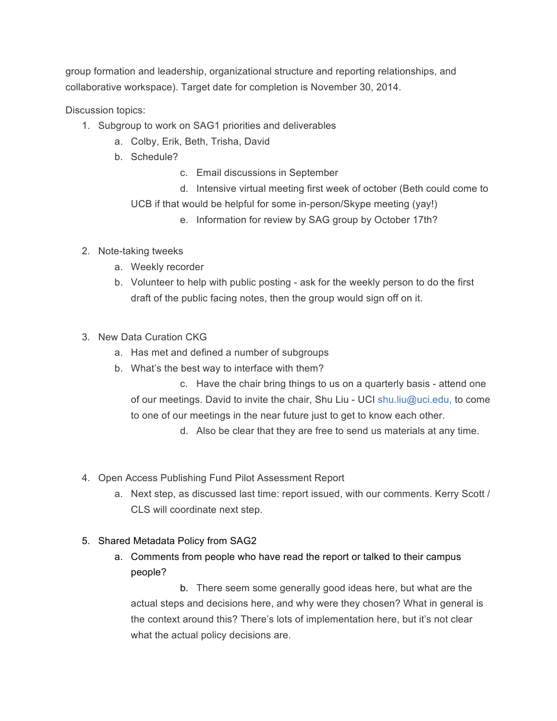group formation and leadership, organizational structure and reporting relationships, and collaborative workspace). Target date for completion is November 30, 2014.

Discussion topics:

- 1. Subgroup to work on SAG1 priorities and deliverables
	- a. Colby, Erik, Beth, Trisha, David
	- b. Schedule?
		- c. Email discussions in September
		- d. Intensive virtual meeting first week of october (Beth could come to UCB if that would be helpful for some in-person/Skype meeting (yay!)
			- e. Information for review by SAG group by October 17th?
- 2. Note-taking tweeks
	- a. Weekly recorder
	- b. Volunteer to help with public posting ask for the weekly person to do the first draft of the public facing notes, then the group would sign off on it.
- 3. New Data Curation CKG
	- a. Has met and defined a number of subgroups
	- b. What's the best way to interface with them?

c. Have the chair bring things to us on a quarterly basis - attend one of our meetings. David to invite the chair, Shu Liu - UCI shu.liu@uci.edu, to come to one of our meetings in the near future just to get to know each other.

d. Also be clear that they are free to send us materials at any time.

- 4. Open Access Publishing Fund Pilot Assessment Report
	- a. Next step, as discussed last time: report issued, with our comments. Kerry Scott / CLS will coordinate next step.

## 5. Shared Metadata Policy from SAG2

a. Comments from people who have read the report or talked to their campus people?

b. There seem some generally good ideas here, but what are the actual steps and decisions here, and why were they chosen? What in general is the context around this? There's lots of implementation here, but it's not clear what the actual policy decisions are.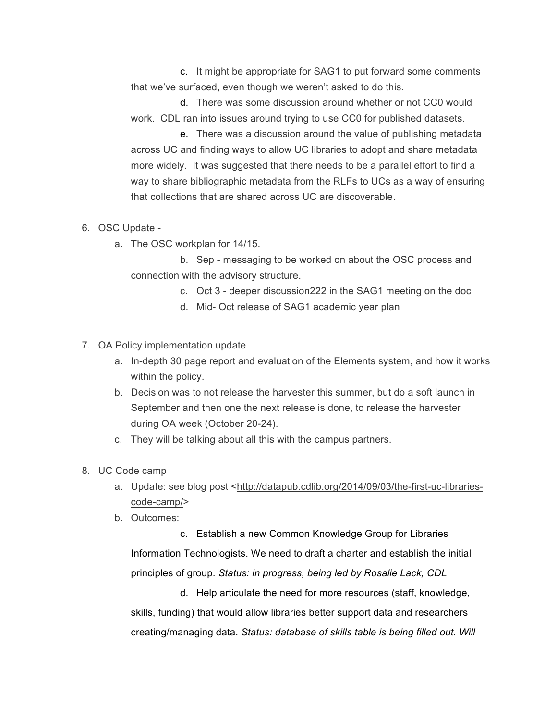c. It might be appropriate for SAG1 to put forward some comments that we've surfaced, even though we weren't asked to do this.

d. There was some discussion around whether or not CC0 would work. CDL ran into issues around trying to use CC0 for published datasets.

e. There was a discussion around the value of publishing metadata across UC and finding ways to allow UC libraries to adopt and share metadata more widely. It was suggested that there needs to be a parallel effort to find a way to share bibliographic metadata from the RLFs to UCs as a way of ensuring that collections that are shared across UC are discoverable.

## 6. OSC Update -

a. The OSC workplan for 14/15.

b. Sep - messaging to be worked on about the OSC process and connection with the advisory structure.

- c. Oct 3 deeper discussion222 in the SAG1 meeting on the doc
- d. Mid- Oct release of SAG1 academic year plan
- 7. OA Policy implementation update
	- a. In-depth 30 page report and evaluation of the Elements system, and how it works within the policy.
	- b. Decision was to not release the harvester this summer, but do a soft launch in September and then one the next release is done, to release the harvester during OA week (October 20-24).
	- c. They will be talking about all this with the campus partners.
- 8. UC Code camp
	- a. Update: see blog post <http://datapub.cdlib.org/2014/09/03/the-first-uc-librariescode-camp/>
	- b. Outcomes:

c. Establish a new Common Knowledge Group for Libraries Information Technologists. We need to draft a charter and establish the initial principles of group. *Status: in progress, being led by Rosalie Lack, CDL*

d. Help articulate the need for more resources (staff, knowledge, skills, funding) that would allow libraries better support data and researchers creating/managing data. *Status: database of skills table is being filled out. Will*